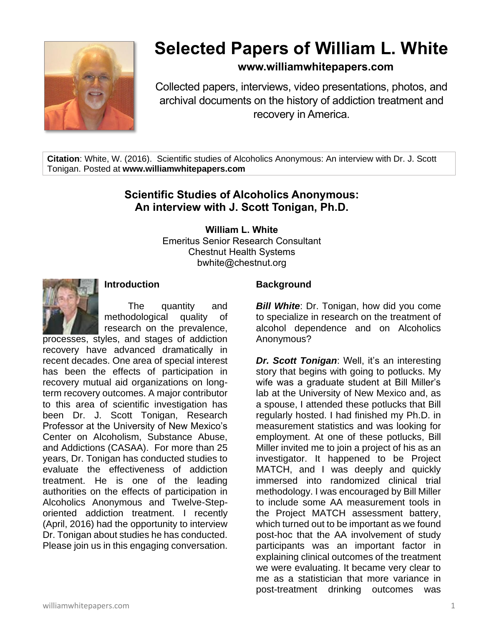

# **Selected Papers of William L. White**

# **www.williamwhitepapers.com**

Collected papers, interviews, video presentations, photos, and archival documents on the history of addiction treatment and recovery in America.

**Citation**: White, W. (2016). Scientific studies of Alcoholics Anonymous: An interview with Dr. J. Scott Tonigan. Posted at **www.williamwhitepapers.com**

# **Scientific Studies of Alcoholics Anonymous: An interview with J. Scott Tonigan, Ph.D.**

**William L. White**

Emeritus Senior Research Consultant Chestnut Health Systems bwhite@chestnut.org



#### **Introduction**

The quantity and methodological quality of research on the prevalence,

processes, styles, and stages of addiction recovery have advanced dramatically in recent decades. One area of special interest has been the effects of participation in recovery mutual aid organizations on longterm recovery outcomes. A major contributor to this area of scientific investigation has been Dr. J. Scott Tonigan, Research Professor at the University of New Mexico's Center on Alcoholism, Substance Abuse, and Addictions (CASAA). For more than 25 years, Dr. Tonigan has conducted studies to evaluate the effectiveness of addiction treatment. He is one of the leading authorities on the effects of participation in Alcoholics Anonymous and Twelve-Steporiented addiction treatment. I recently (April, 2016) had the opportunity to interview Dr. Tonigan about studies he has conducted. Please join us in this engaging conversation.

#### **Background**

*Bill White: Dr. Tonigan, how did you come* to specialize in research on the treatment of alcohol dependence and on Alcoholics Anonymous?

*Dr. Scott Tonigan*: Well, it's an interesting story that begins with going to potlucks. My wife was a graduate student at Bill Miller's lab at the University of New Mexico and, as a spouse, I attended these potlucks that Bill regularly hosted. I had finished my Ph.D. in measurement statistics and was looking for employment. At one of these potlucks, Bill Miller invited me to join a project of his as an investigator. It happened to be Project MATCH, and I was deeply and quickly immersed into randomized clinical trial methodology. I was encouraged by Bill Miller to include some AA measurement tools in the Project MATCH assessment battery, which turned out to be important as we found post-hoc that the AA involvement of study participants was an important factor in explaining clinical outcomes of the treatment we were evaluating. It became very clear to me as a statistician that more variance in post-treatment drinking outcomes was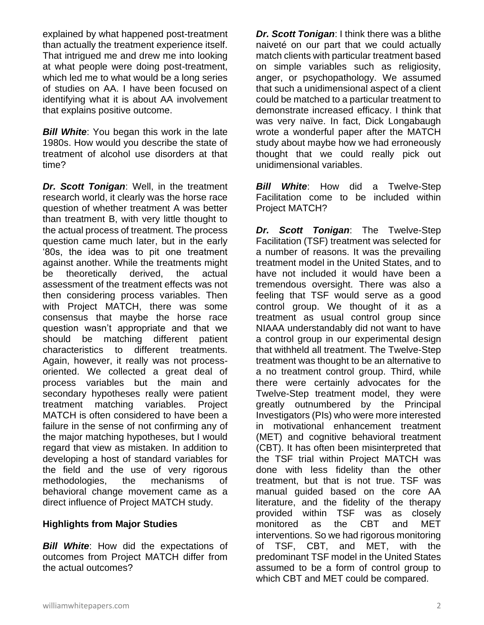explained by what happened post-treatment than actually the treatment experience itself. That intrigued me and drew me into looking at what people were doing post-treatment, which led me to what would be a long series of studies on AA. I have been focused on identifying what it is about AA involvement that explains positive outcome.

**Bill White:** You began this work in the late 1980s. How would you describe the state of treatment of alcohol use disorders at that time?

*Dr. Scott Tonigan*: Well, in the treatment research world, it clearly was the horse race question of whether treatment A was better than treatment B, with very little thought to the actual process of treatment. The process question came much later, but in the early '80s, the idea was to pit one treatment against another. While the treatments might be theoretically derived, the actual assessment of the treatment effects was not then considering process variables. Then with Project MATCH, there was some consensus that maybe the horse race question wasn't appropriate and that we should be matching different patient characteristics to different treatments. Again, however, it really was not processoriented. We collected a great deal of process variables but the main and secondary hypotheses really were patient treatment matching variables. Project MATCH is often considered to have been a failure in the sense of not confirming any of the major matching hypotheses, but I would regard that view as mistaken. In addition to developing a host of standard variables for the field and the use of very rigorous methodologies, the mechanisms of behavioral change movement came as a direct influence of Project MATCH study.

# **Highlights from Major Studies**

**Bill White:** How did the expectations of outcomes from Project MATCH differ from the actual outcomes?

*Dr. Scott Tonigan*: I think there was a blithe naiveté on our part that we could actually match clients with particular treatment based on simple variables such as religiosity, anger, or psychopathology. We assumed that such a unidimensional aspect of a client could be matched to a particular treatment to demonstrate increased efficacy. I think that was very naïve. In fact, Dick Longabaugh wrote a wonderful paper after the MATCH study about maybe how we had erroneously thought that we could really pick out unidimensional variables.

*Bill White*: How did a Twelve-Step Facilitation come to be included within Project MATCH?

*Dr. Scott Tonigan*: The Twelve-Step Facilitation (TSF) treatment was selected for a number of reasons. It was the prevailing treatment model in the United States, and to have not included it would have been a tremendous oversight. There was also a feeling that TSF would serve as a good control group. We thought of it as a treatment as usual control group since NIAAA understandably did not want to have a control group in our experimental design that withheld all treatment. The Twelve-Step treatment was thought to be an alternative to a no treatment control group. Third, while there were certainly advocates for the Twelve-Step treatment model, they were greatly outnumbered by the Principal Investigators (PIs) who were more interested in motivational enhancement treatment (MET) and cognitive behavioral treatment (CBT). It has often been misinterpreted that the TSF trial within Project MATCH was done with less fidelity than the other treatment, but that is not true. TSF was manual guided based on the core AA literature, and the fidelity of the therapy provided within TSF was as closely monitored as the CBT and MET interventions. So we had rigorous monitoring of TSF, CBT, and MET, with the predominant TSF model in the United States assumed to be a form of control group to which CBT and MET could be compared.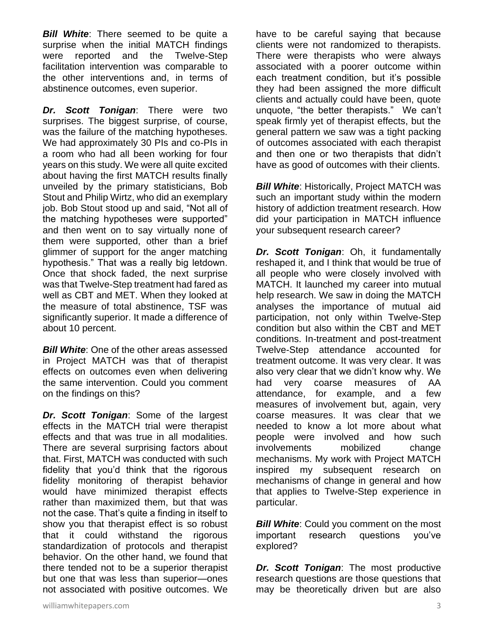*Bill White*: There seemed to be quite a surprise when the initial MATCH findings were reported and the Twelve-Step facilitation intervention was comparable to the other interventions and, in terms of abstinence outcomes, even superior.

*Dr. Scott Tonigan*: There were two surprises. The biggest surprise, of course, was the failure of the matching hypotheses. We had approximately 30 PIs and co-PIs in a room who had all been working for four years on this study. We were all quite excited about having the first MATCH results finally unveiled by the primary statisticians, Bob Stout and Philip Wirtz, who did an exemplary job. Bob Stout stood up and said, "Not all of the matching hypotheses were supported" and then went on to say virtually none of them were supported, other than a brief glimmer of support for the anger matching hypothesis." That was a really big letdown. Once that shock faded, the next surprise was that Twelve-Step treatment had fared as well as CBT and MET. When they looked at the measure of total abstinence, TSF was significantly superior. It made a difference of about 10 percent.

*Bill White:* One of the other areas assessed in Project MATCH was that of therapist effects on outcomes even when delivering the same intervention. Could you comment on the findings on this?

*Dr. Scott Tonigan*: Some of the largest effects in the MATCH trial were therapist effects and that was true in all modalities. There are several surprising factors about that. First, MATCH was conducted with such fidelity that you'd think that the rigorous fidelity monitoring of therapist behavior would have minimized therapist effects rather than maximized them, but that was not the case. That's quite a finding in itself to show you that therapist effect is so robust that it could withstand the rigorous standardization of protocols and therapist behavior. On the other hand, we found that there tended not to be a superior therapist but one that was less than superior—ones not associated with positive outcomes. We

have to be careful saying that because clients were not randomized to therapists. There were therapists who were always associated with a poorer outcome within each treatment condition, but it's possible they had been assigned the more difficult clients and actually could have been, quote unquote, "the better therapists." We can't speak firmly yet of therapist effects, but the general pattern we saw was a tight packing of outcomes associated with each therapist and then one or two therapists that didn't have as good of outcomes with their clients.

**Bill White: Historically, Project MATCH was** such an important study within the modern history of addiction treatment research. How did your participation in MATCH influence your subsequent research career?

*Dr. Scott Tonigan*: Oh, it fundamentally reshaped it, and I think that would be true of all people who were closely involved with MATCH. It launched my career into mutual help research. We saw in doing the MATCH analyses the importance of mutual aid participation, not only within Twelve-Step condition but also within the CBT and MET conditions. In-treatment and post-treatment Twelve-Step attendance accounted for treatment outcome. It was very clear. It was also very clear that we didn't know why. We had very coarse measures of AA attendance, for example, and a few measures of involvement but, again, very coarse measures. It was clear that we needed to know a lot more about what people were involved and how such involvements mobilized change mechanisms. My work with Project MATCH inspired my subsequent research on mechanisms of change in general and how that applies to Twelve-Step experience in particular.

**Bill White:** Could you comment on the most important research questions you've explored?

*Dr. Scott Tonigan*: The most productive research questions are those questions that may be theoretically driven but are also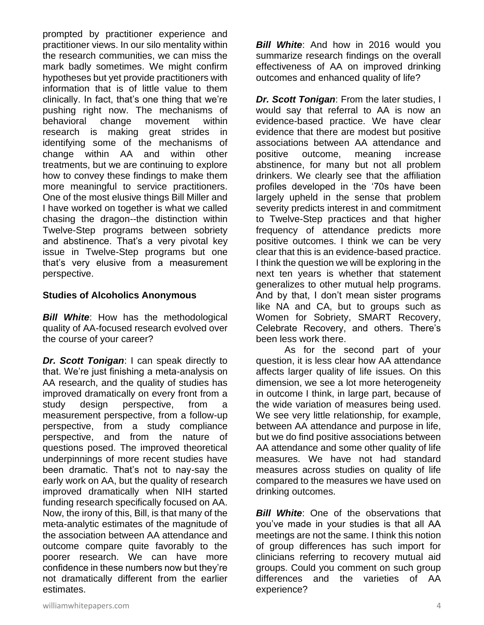prompted by practitioner experience and practitioner views. In our silo mentality within the research communities, we can miss the mark badly sometimes. We might confirm hypotheses but yet provide practitioners with information that is of little value to them clinically. In fact, that's one thing that we're pushing right now. The mechanisms of behavioral change movement within research is making great strides in identifying some of the mechanisms of change within AA and within other treatments, but we are continuing to explore how to convey these findings to make them more meaningful to service practitioners. One of the most elusive things Bill Miller and I have worked on together is what we called chasing the dragon--the distinction within Twelve-Step programs between sobriety and abstinence. That's a very pivotal key issue in Twelve-Step programs but one that's very elusive from a measurement perspective.

#### **Studies of Alcoholics Anonymous**

**Bill White:** How has the methodological quality of AA-focused research evolved over the course of your career?

*Dr. Scott Tonigan*: I can speak directly to that. We're just finishing a meta-analysis on AA research, and the quality of studies has improved dramatically on every front from a study design perspective, from a measurement perspective, from a follow-up perspective, from a study compliance perspective, and from the nature of questions posed. The improved theoretical underpinnings of more recent studies have been dramatic. That's not to nay-say the early work on AA, but the quality of research improved dramatically when NIH started funding research specifically focused on AA. Now, the irony of this, Bill, is that many of the meta-analytic estimates of the magnitude of the association between AA attendance and outcome compare quite favorably to the poorer research. We can have more confidence in these numbers now but they're not dramatically different from the earlier estimates.

*Bill White*: And how in 2016 would you summarize research findings on the overall effectiveness of AA on improved drinking outcomes and enhanced quality of life?

*Dr. Scott Tonigan*: From the later studies, I would say that referral to AA is now an evidence-based practice. We have clear evidence that there are modest but positive associations between AA attendance and positive outcome, meaning increase abstinence, for many but not all problem drinkers. We clearly see that the affiliation profiles developed in the '70s have been largely upheld in the sense that problem severity predicts interest in and commitment to Twelve-Step practices and that higher frequency of attendance predicts more positive outcomes. I think we can be very clear that this is an evidence-based practice. I think the question we will be exploring in the next ten years is whether that statement generalizes to other mutual help programs. And by that, I don't mean sister programs like NA and CA, but to groups such as Women for Sobriety, SMART Recovery, Celebrate Recovery, and others. There's been less work there.

As for the second part of your question, it is less clear how AA attendance affects larger quality of life issues. On this dimension, we see a lot more heterogeneity in outcome I think, in large part, because of the wide variation of measures being used. We see very little relationship, for example, between AA attendance and purpose in life, but we do find positive associations between AA attendance and some other quality of life measures. We have not had standard measures across studies on quality of life compared to the measures we have used on drinking outcomes.

*Bill White*: One of the observations that you've made in your studies is that all AA meetings are not the same. I think this notion of group differences has such import for clinicians referring to recovery mutual aid groups. Could you comment on such group differences and the varieties of AA experience?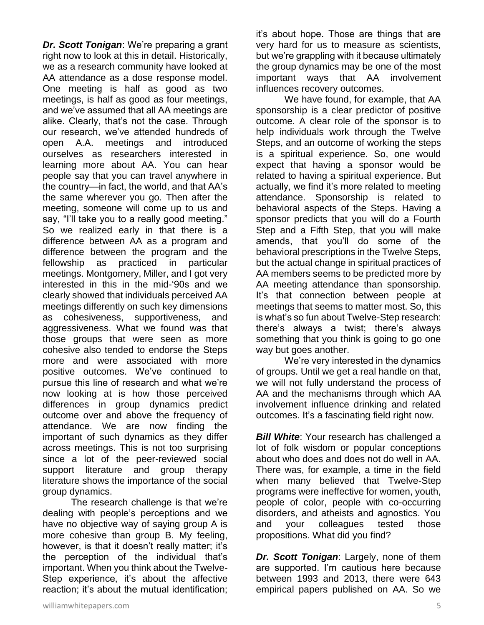*Dr. Scott Tonigan*: We're preparing a grant right now to look at this in detail. Historically, we as a research community have looked at AA attendance as a dose response model. One meeting is half as good as two meetings, is half as good as four meetings, and we've assumed that all AA meetings are alike. Clearly, that's not the case. Through our research, we've attended hundreds of open A.A. meetings and introduced ourselves as researchers interested in learning more about AA. You can hear people say that you can travel anywhere in the country—in fact, the world, and that AA's the same wherever you go. Then after the meeting, someone will come up to us and say, "I'll take you to a really good meeting." So we realized early in that there is a difference between AA as a program and difference between the program and the fellowship as practiced in particular meetings. Montgomery, Miller, and I got very interested in this in the mid-'90s and we clearly showed that individuals perceived AA meetings differently on such key dimensions as cohesiveness, supportiveness, and aggressiveness. What we found was that those groups that were seen as more cohesive also tended to endorse the Steps more and were associated with more positive outcomes. We've continued to pursue this line of research and what we're now looking at is how those perceived differences in group dynamics predict outcome over and above the frequency of attendance. We are now finding the important of such dynamics as they differ across meetings. This is not too surprising since a lot of the peer-reviewed social support literature and group therapy literature shows the importance of the social group dynamics.

The research challenge is that we're dealing with people's perceptions and we have no objective way of saying group A is more cohesive than group B. My feeling, however, is that it doesn't really matter; it's the perception of the individual that's important. When you think about the Twelve-Step experience, it's about the affective reaction; it's about the mutual identification;

it's about hope. Those are things that are very hard for us to measure as scientists, but we're grappling with it because ultimately the group dynamics may be one of the most important ways that AA involvement influences recovery outcomes.

We have found, for example, that AA sponsorship is a clear predictor of positive outcome. A clear role of the sponsor is to help individuals work through the Twelve Steps, and an outcome of working the steps is a spiritual experience. So, one would expect that having a sponsor would be related to having a spiritual experience. But actually, we find it's more related to meeting attendance. Sponsorship is related to behavioral aspects of the Steps. Having a sponsor predicts that you will do a Fourth Step and a Fifth Step, that you will make amends, that you'll do some of the behavioral prescriptions in the Twelve Steps, but the actual change in spiritual practices of AA members seems to be predicted more by AA meeting attendance than sponsorship. It's that connection between people at meetings that seems to matter most. So, this is what's so fun about Twelve-Step research: there's always a twist; there's always something that you think is going to go one way but goes another.

We're very interested in the dynamics of groups. Until we get a real handle on that, we will not fully understand the process of AA and the mechanisms through which AA involvement influence drinking and related outcomes. It's a fascinating field right now.

*Bill White:* Your research has challenged a lot of folk wisdom or popular conceptions about who does and does not do well in AA. There was, for example, a time in the field when many believed that Twelve-Step programs were ineffective for women, youth, people of color, people with co-occurring disorders, and atheists and agnostics. You and your colleagues tested those propositions. What did you find?

*Dr. Scott Tonigan*: Largely, none of them are supported. I'm cautious here because between 1993 and 2013, there were 643 empirical papers published on AA. So we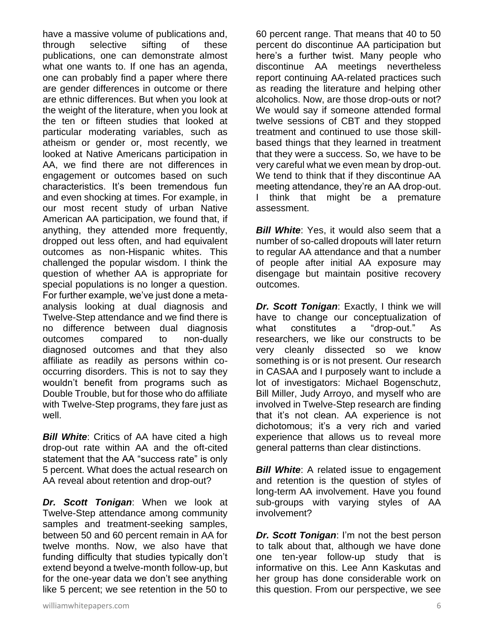have a massive volume of publications and, through selective sifting of these publications, one can demonstrate almost what one wants to. If one has an agenda, one can probably find a paper where there are gender differences in outcome or there are ethnic differences. But when you look at the weight of the literature, when you look at the ten or fifteen studies that looked at particular moderating variables, such as atheism or gender or, most recently, we looked at Native Americans participation in AA, we find there are not differences in engagement or outcomes based on such characteristics. It's been tremendous fun and even shocking at times. For example, in our most recent study of urban Native American AA participation, we found that, if anything, they attended more frequently, dropped out less often, and had equivalent outcomes as non-Hispanic whites. This challenged the popular wisdom. I think the question of whether AA is appropriate for special populations is no longer a question. For further example, we've just done a metaanalysis looking at dual diagnosis and Twelve-Step attendance and we find there is no difference between dual diagnosis outcomes compared to non-dually diagnosed outcomes and that they also affiliate as readily as persons within cooccurring disorders. This is not to say they wouldn't benefit from programs such as Double Trouble, but for those who do affiliate with Twelve-Step programs, they fare just as well.

*Bill White:* Critics of AA have cited a high drop-out rate within AA and the oft-cited statement that the AA "success rate" is only 5 percent. What does the actual research on AA reveal about retention and drop-out?

*Dr. Scott Tonigan*: When we look at Twelve-Step attendance among community samples and treatment-seeking samples, between 50 and 60 percent remain in AA for twelve months. Now, we also have that funding difficulty that studies typically don't extend beyond a twelve-month follow-up, but for the one-year data we don't see anything like 5 percent; we see retention in the 50 to 60 percent range. That means that 40 to 50 percent do discontinue AA participation but here's a further twist. Many people who discontinue AA meetings nevertheless report continuing AA-related practices such as reading the literature and helping other alcoholics. Now, are those drop-outs or not? We would say if someone attended formal twelve sessions of CBT and they stopped treatment and continued to use those skillbased things that they learned in treatment that they were a success. So, we have to be very careful what we even mean by drop-out. We tend to think that if they discontinue AA meeting attendance, they're an AA drop-out. I think that might be a premature assessment.

**Bill White:** Yes, it would also seem that a number of so-called dropouts will later return to regular AA attendance and that a number of people after initial AA exposure may disengage but maintain positive recovery outcomes.

*Dr. Scott Tonigan*: Exactly, I think we will have to change our conceptualization of what constitutes a "drop-out." As researchers, we like our constructs to be very cleanly dissected so we know something is or is not present. Our research in CASAA and I purposely want to include a lot of investigators: Michael Bogenschutz, Bill Miller, Judy Arroyo, and myself who are involved in Twelve-Step research are finding that it's not clean. AA experience is not dichotomous; it's a very rich and varied experience that allows us to reveal more general patterns than clear distinctions.

**Bill White:** A related issue to engagement and retention is the question of styles of long-term AA involvement. Have you found sub-groups with varying styles of AA involvement?

*Dr. Scott Tonigan*: I'm not the best person to talk about that, although we have done one ten-year follow-up study that is informative on this. Lee Ann Kaskutas and her group has done considerable work on this question. From our perspective, we see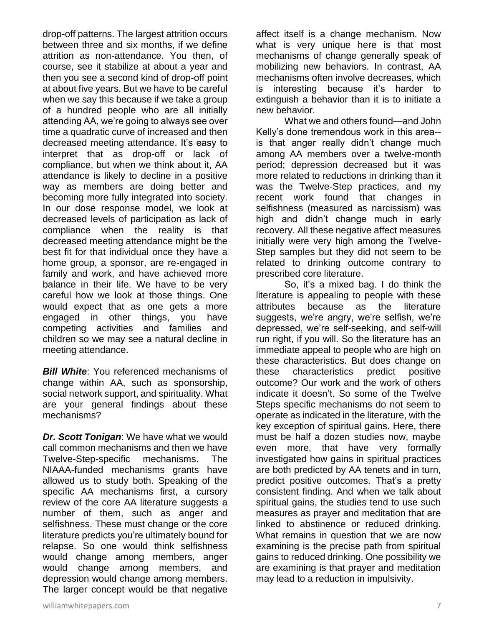drop-off patterns. The largest attrition occurs between three and six months, if we define attrition as non-attendance. You then, of course, see it stabilize at about a year and then you see a second kind of drop-off point at about five years. But we have to be careful when we say this because if we take a group of a hundred people who are all initially attending AA, we're going to always see over time a quadratic curve of increased and then decreased meeting attendance. It's easy to interpret that as drop-off or lack of compliance, but when we think about it, AA attendance is likely to decline in a positive way as members are doing better and becoming more fully integrated into society. In our dose response model, we look at decreased levels of participation as lack of compliance when the reality is that decreased meeting attendance might be the best fit for that individual once they have a home group, a sponsor, are re-engaged in family and work, and have achieved more balance in their life. We have to be very careful how we look at those things. One would expect that as one gets a more engaged in other things, you have competing activities and families and children so we may see a natural decline in meeting attendance.

**Bill White:** You referenced mechanisms of change within AA, such as sponsorship, social network support, and spirituality. What are your general findings about these mechanisms?

*Dr. Scott Tonigan*: We have what we would call common mechanisms and then we have Twelve-Step-specific mechanisms. The NIAAA-funded mechanisms grants have allowed us to study both. Speaking of the specific AA mechanisms first, a cursory review of the core AA literature suggests a number of them, such as anger and selfishness. These must change or the core literature predicts you're ultimately bound for relapse. So one would think selfishness would change among members, anger would change among members, and depression would change among members. The larger concept would be that negative

affect itself is a change mechanism. Now what is very unique here is that most mechanisms of change generally speak of mobilizing new behaviors. In contrast, AA mechanisms often involve decreases, which is interesting because it's harder to extinguish a behavior than it is to initiate a new behavior.

What we and others found—and John Kelly's done tremendous work in this area- is that anger really didn't change much among AA members over a twelve-month period; depression decreased but it was more related to reductions in drinking than it was the Twelve-Step practices, and my recent work found that changes in selfishness (measured as narcissism) was high and didn't change much in early recovery. All these negative affect measures initially were very high among the Twelve-Step samples but they did not seem to be related to drinking outcome contrary to prescribed core literature.

So, it's a mixed bag. I do think the literature is appealing to people with these attributes because as the literature suggests, we're angry, we're selfish, we're depressed, we're self-seeking, and self-will run right, if you will. So the literature has an immediate appeal to people who are high on these characteristics. But does change on these characteristics predict positive outcome? Our work and the work of others indicate it doesn't. So some of the Twelve Steps specific mechanisms do not seem to operate as indicated in the literature, with the key exception of spiritual gains. Here, there must be half a dozen studies now, maybe even more, that have very formally investigated how gains in spiritual practices are both predicted by AA tenets and in turn, predict positive outcomes. That's a pretty consistent finding. And when we talk about spiritual gains, the studies tend to use such measures as prayer and meditation that are linked to abstinence or reduced drinking. What remains in question that we are now examining is the precise path from spiritual gains to reduced drinking. One possibility we are examining is that prayer and meditation may lead to a reduction in impulsivity.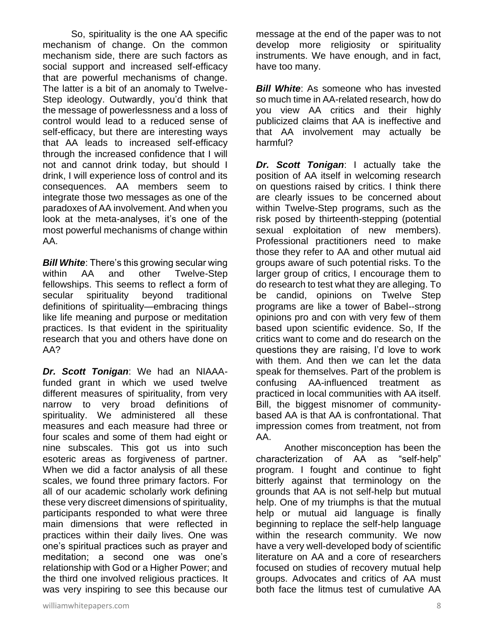So, spirituality is the one AA specific mechanism of change. On the common mechanism side, there are such factors as social support and increased self-efficacy that are powerful mechanisms of change. The latter is a bit of an anomaly to Twelve-Step ideology. Outwardly, you'd think that the message of powerlessness and a loss of control would lead to a reduced sense of self-efficacy, but there are interesting ways that AA leads to increased self-efficacy through the increased confidence that I will not and cannot drink today, but should I drink, I will experience loss of control and its consequences. AA members seem to integrate those two messages as one of the paradoxes of AA involvement. And when you look at the meta-analyses, it's one of the most powerful mechanisms of change within AA.

*Bill White*: There's this growing secular wing within AA and other Twelve-Step fellowships. This seems to reflect a form of secular spirituality beyond traditional definitions of spirituality—embracing things like life meaning and purpose or meditation practices. Is that evident in the spirituality research that you and others have done on AA?

*Dr. Scott Tonigan*: We had an NIAAAfunded grant in which we used twelve different measures of spirituality, from very narrow to very broad definitions of spirituality. We administered all these measures and each measure had three or four scales and some of them had eight or nine subscales. This got us into such esoteric areas as forgiveness of partner. When we did a factor analysis of all these scales, we found three primary factors. For all of our academic scholarly work defining these very discreet dimensions of spirituality, participants responded to what were three main dimensions that were reflected in practices within their daily lives. One was one's spiritual practices such as prayer and meditation; a second one was one's relationship with God or a Higher Power; and the third one involved religious practices. It was very inspiring to see this because our

message at the end of the paper was to not develop more religiosity or spirituality instruments. We have enough, and in fact, have too many.

*Bill White:* As someone who has invested so much time in AA-related research, how do you view AA critics and their highly publicized claims that AA is ineffective and that AA involvement may actually be harmful?

*Dr. Scott Tonigan*: I actually take the position of AA itself in welcoming research on questions raised by critics. I think there are clearly issues to be concerned about within Twelve-Step programs, such as the risk posed by thirteenth-stepping (potential sexual exploitation of new members). Professional practitioners need to make those they refer to AA and other mutual aid groups aware of such potential risks. To the larger group of critics, I encourage them to do research to test what they are alleging. To be candid, opinions on Twelve Step programs are like a tower of Babel--strong opinions pro and con with very few of them based upon scientific evidence. So, If the critics want to come and do research on the questions they are raising, I'd love to work with them. And then we can let the data speak for themselves. Part of the problem is confusing AA-influenced treatment as practiced in local communities with AA itself. Bill, the biggest misnomer of communitybased AA is that AA is confrontational. That impression comes from treatment, not from AA.

Another misconception has been the characterization of AA as "self-help" program. I fought and continue to fight bitterly against that terminology on the grounds that AA is not self-help but mutual help. One of my triumphs is that the mutual help or mutual aid language is finally beginning to replace the self-help language within the research community. We now have a very well-developed body of scientific literature on AA and a core of researchers focused on studies of recovery mutual help groups. Advocates and critics of AA must both face the litmus test of cumulative AA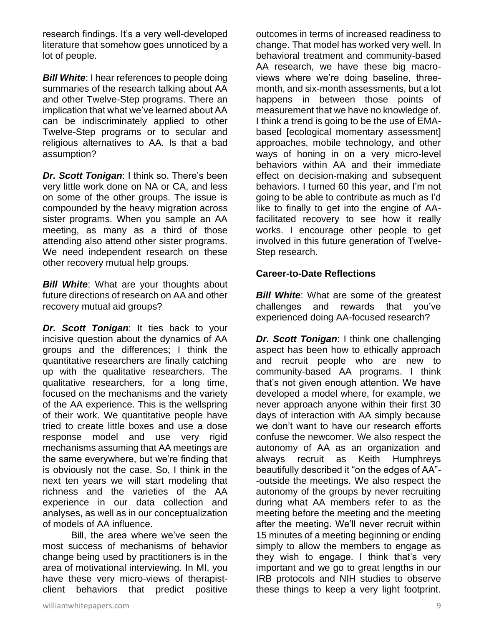research findings. It's a very well-developed literature that somehow goes unnoticed by a lot of people.

**Bill White:** I hear references to people doing summaries of the research talking about AA and other Twelve-Step programs. There an implication that what we've learned about AA can be indiscriminately applied to other Twelve-Step programs or to secular and religious alternatives to AA. Is that a bad assumption?

*Dr. Scott Tonigan*: I think so. There's been very little work done on NA or CA, and less on some of the other groups. The issue is compounded by the heavy migration across sister programs. When you sample an AA meeting, as many as a third of those attending also attend other sister programs. We need independent research on these other recovery mutual help groups.

*Bill White*: What are your thoughts about future directions of research on AA and other recovery mutual aid groups?

*Dr. Scott Tonigan*: It ties back to your incisive question about the dynamics of AA groups and the differences; I think the quantitative researchers are finally catching up with the qualitative researchers. The qualitative researchers, for a long time, focused on the mechanisms and the variety of the AA experience. This is the wellspring of their work. We quantitative people have tried to create little boxes and use a dose response model and use very rigid mechanisms assuming that AA meetings are the same everywhere, but we're finding that is obviously not the case. So, I think in the next ten years we will start modeling that richness and the varieties of the AA experience in our data collection and analyses, as well as in our conceptualization of models of AA influence.

Bill, the area where we've seen the most success of mechanisms of behavior change being used by practitioners is in the area of motivational interviewing. In MI, you have these very micro-views of therapistclient behaviors that predict positive

outcomes in terms of increased readiness to change. That model has worked very well. In behavioral treatment and community-based AA research, we have these big macroviews where we're doing baseline, threemonth, and six-month assessments, but a lot happens in between those points of measurement that we have no knowledge of. I think a trend is going to be the use of EMAbased [ecological momentary assessment] approaches, mobile technology, and other ways of honing in on a very micro-level behaviors within AA and their immediate effect on decision-making and subsequent behaviors. I turned 60 this year, and I'm not going to be able to contribute as much as I'd like to finally to get into the engine of AAfacilitated recovery to see how it really works. I encourage other people to get involved in this future generation of Twelve-Step research.

### **Career-to-Date Reflections**

*Bill White:* What are some of the greatest challenges and rewards that you've experienced doing AA-focused research?

*Dr. Scott Tonigan*: I think one challenging aspect has been how to ethically approach and recruit people who are new to community-based AA programs. I think that's not given enough attention. We have developed a model where, for example, we never approach anyone within their first 30 days of interaction with AA simply because we don't want to have our research efforts confuse the newcomer. We also respect the autonomy of AA as an organization and always recruit as Keith Humphreys beautifully described it "on the edges of AA"- -outside the meetings. We also respect the autonomy of the groups by never recruiting during what AA members refer to as the meeting before the meeting and the meeting after the meeting. We'll never recruit within 15 minutes of a meeting beginning or ending simply to allow the members to engage as they wish to engage. I think that's very important and we go to great lengths in our IRB protocols and NIH studies to observe these things to keep a very light footprint.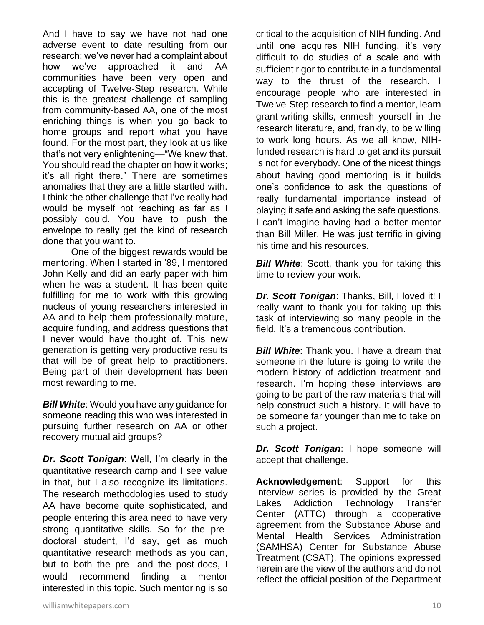And I have to say we have not had one adverse event to date resulting from our research; we've never had a complaint about how we've approached it and AA communities have been very open and accepting of Twelve-Step research. While this is the greatest challenge of sampling from community-based AA, one of the most enriching things is when you go back to home groups and report what you have found. For the most part, they look at us like that's not very enlightening—"We knew that. You should read the chapter on how it works; it's all right there." There are sometimes anomalies that they are a little startled with. I think the other challenge that I've really had would be myself not reaching as far as I possibly could. You have to push the envelope to really get the kind of research done that you want to.

One of the biggest rewards would be mentoring. When I started in '89, I mentored John Kelly and did an early paper with him when he was a student. It has been quite fulfilling for me to work with this growing nucleus of young researchers interested in AA and to help them professionally mature, acquire funding, and address questions that I never would have thought of. This new generation is getting very productive results that will be of great help to practitioners. Being part of their development has been most rewarding to me.

*Bill White*: Would you have any guidance for someone reading this who was interested in pursuing further research on AA or other recovery mutual aid groups?

*Dr. Scott Tonigan*: Well, I'm clearly in the quantitative research camp and I see value in that, but I also recognize its limitations. The research methodologies used to study AA have become quite sophisticated, and people entering this area need to have very strong quantitative skills. So for the predoctoral student, I'd say, get as much quantitative research methods as you can, but to both the pre- and the post-docs, I would recommend finding a mentor interested in this topic. Such mentoring is so critical to the acquisition of NIH funding. And until one acquires NIH funding, it's very difficult to do studies of a scale and with sufficient rigor to contribute in a fundamental way to the thrust of the research. I encourage people who are interested in Twelve-Step research to find a mentor, learn grant-writing skills, enmesh yourself in the research literature, and, frankly, to be willing to work long hours. As we all know, NIHfunded research is hard to get and its pursuit is not for everybody. One of the nicest things about having good mentoring is it builds one's confidence to ask the questions of really fundamental importance instead of playing it safe and asking the safe questions. I can't imagine having had a better mentor than Bill Miller. He was just terrific in giving his time and his resources.

**Bill White:** Scott, thank you for taking this time to review your work.

*Dr. Scott Tonigan*: Thanks, Bill, I loved it! I really want to thank you for taking up this task of interviewing so many people in the field. It's a tremendous contribution.

**Bill White:** Thank you. I have a dream that someone in the future is going to write the modern history of addiction treatment and research. I'm hoping these interviews are going to be part of the raw materials that will help construct such a history. It will have to be someone far younger than me to take on such a project.

*Dr. Scott Tonigan*: I hope someone will accept that challenge.

**Acknowledgement**: Support for this interview series is provided by the Great Lakes Addiction Technology Transfer Center (ATTC) through a cooperative agreement from the Substance Abuse and Mental Health Services Administration (SAMHSA) Center for Substance Abuse Treatment (CSAT). The opinions expressed herein are the view of the authors and do not reflect the official position of the Department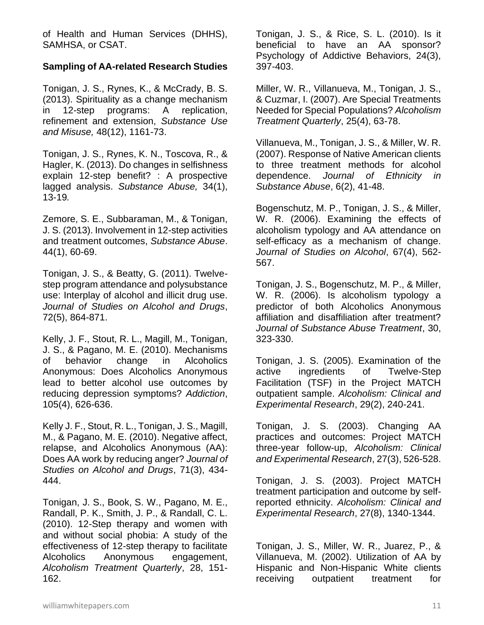of Health and Human Services (DHHS), SAMHSA, or CSAT.

# **Sampling of AA-related Research Studies**

Tonigan, J. S., Rynes, K., & McCrady, B. S. (2013). Spirituality as a change mechanism in 12-step programs: A replication, refinement and extension, *Substance Use and Misuse,* 48(12), 1161-73.

Tonigan, J. S., Rynes, K. N., Toscova, R., & Hagler, K. (2013). Do changes in selfishness explain 12-step benefit? : A prospective lagged analysis. *Substance Abuse,* 34(1), 13-19*.*

Zemore, S. E., Subbaraman, M., & Tonigan, J. S. (2013). Involvement in 12-step activities and treatment outcomes, *Substance Abuse*. 44(1), 60-69.

Tonigan, J. S., & Beatty, G. (2011). Twelvestep program attendance and polysubstance use: Interplay of alcohol and illicit drug use. *Journal of Studies on Alcohol and Drugs*, 72(5), 864-871.

Kelly, J. F., Stout, R. L., Magill, M., Tonigan, J. S., & Pagano, M. E. (2010). Mechanisms of behavior change in Alcoholics Anonymous: Does Alcoholics Anonymous lead to better alcohol use outcomes by reducing depression symptoms? *Addiction*, 105(4), 626-636.

Kelly J. F., Stout, R. L., Tonigan, J. S., Magill, M., & Pagano, M. E. (2010). Negative affect, relapse, and Alcoholics Anonymous (AA): Does AA work by reducing anger? *Journal of Studies on Alcohol and Drugs*, 71(3), 434- 444.

Tonigan, J. S., Book, S. W., Pagano, M. E., Randall, P. K., Smith, J. P., & Randall, C. L. (2010). 12-Step therapy and women with and without social phobia: A study of the effectiveness of 12-step therapy to facilitate Alcoholics Anonymous engagement, *Alcoholism Treatment Quarterly*, 28, 151- 162.

Tonigan, J. S., & Rice, S. L. (2010). Is it beneficial to have an AA sponsor? Psychology of Addictive Behaviors, 24(3), 397-403.

Miller, W. R., Villanueva, M., Tonigan, J. S., & Cuzmar, I. (2007). Are Special Treatments Needed for Special Populations? *Alcoholism Treatment Quarterly*, 25(4), 63-78.

Villanueva, M., Tonigan, J. S., & Miller, W. R. (2007). Response of Native American clients to three treatment methods for alcohol dependence. *Journal of Ethnicity in Substance Abuse*, 6(2), 41-48.

Bogenschutz, M. P., Tonigan, J. S., & Miller, W. R. (2006). Examining the effects of alcoholism typology and AA attendance on self-efficacy as a mechanism of change. *Journal of Studies on Alcohol*, 67(4), 562- 567.

Tonigan, J. S., Bogenschutz, M. P., & Miller, W. R. (2006). Is alcoholism typology a predictor of both Alcoholics Anonymous affiliation and disaffiliation after treatment? *Journal of Substance Abuse Treatment*, 30, 323-330.

Tonigan, J. S. (2005). Examination of the active ingredients of Twelve-Step Facilitation (TSF) in the Project MATCH outpatient sample. *Alcoholism: Clinical and Experimental Research*, 29(2), 240-241.

Tonigan, J. S. (2003). Changing AA practices and outcomes: Project MATCH three-year follow-up, *Alcoholism: Clinical and Experimental Research*, 27(3), 526-528.

Tonigan, J. S. (2003). Project MATCH treatment participation and outcome by selfreported ethnicity. *Alcoholism: Clinical and Experimental Research*, 27(8), 1340-1344.

Tonigan, J. S., Miller, W. R., Juarez, P., & Villanueva, M. (2002). Utilization of AA by Hispanic and Non-Hispanic White clients receiving outpatient treatment for